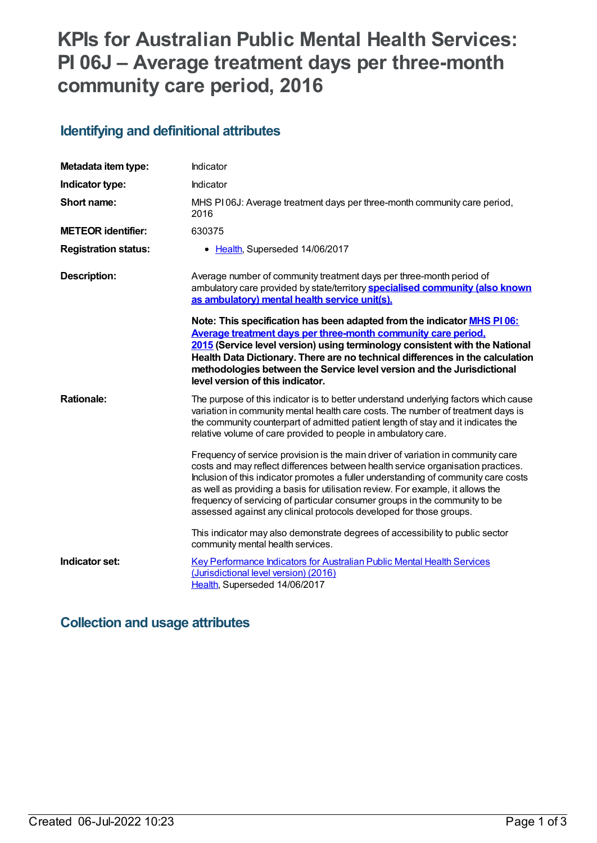# **KPIs for Australian Public Mental Health Services: PI 06J – Average treatment days per three-month community care period, 2016**

### **Identifying and definitional attributes**

| Metadata item type:         | Indicator                                                                                                                                                                                                                                                                                                                                                                                                                                                                                            |
|-----------------------------|------------------------------------------------------------------------------------------------------------------------------------------------------------------------------------------------------------------------------------------------------------------------------------------------------------------------------------------------------------------------------------------------------------------------------------------------------------------------------------------------------|
| Indicator type:             | Indicator                                                                                                                                                                                                                                                                                                                                                                                                                                                                                            |
| Short name:                 | MHS PI06J: Average treatment days per three-month community care period,<br>2016                                                                                                                                                                                                                                                                                                                                                                                                                     |
| <b>METEOR identifier:</b>   | 630375                                                                                                                                                                                                                                                                                                                                                                                                                                                                                               |
| <b>Registration status:</b> | • Health, Superseded 14/06/2017                                                                                                                                                                                                                                                                                                                                                                                                                                                                      |
| <b>Description:</b>         | Average number of community treatment days per three-month period of<br>ambulatory care provided by state/territory specialised community (also known<br>as ambulatory) mental health service unit(s).                                                                                                                                                                                                                                                                                               |
|                             | Note: This specification has been adapted from the indicator MHS PI 06:<br>Average treatment days per three-month community care period,<br>2015 (Service level version) using terminology consistent with the National<br>Health Data Dictionary. There are no technical differences in the calculation<br>methodologies between the Service level version and the Jurisdictional<br>level version of this indicator.                                                                               |
| <b>Rationale:</b>           | The purpose of this indicator is to better understand underlying factors which cause<br>variation in community mental health care costs. The number of treatment days is<br>the community counterpart of admitted patient length of stay and it indicates the<br>relative volume of care provided to people in ambulatory care.                                                                                                                                                                      |
|                             | Frequency of service provision is the main driver of variation in community care<br>costs and may reflect differences between health service organisation practices.<br>Inclusion of this indicator promotes a fuller understanding of community care costs<br>as well as providing a basis for utilisation review. For example, it allows the<br>frequency of servicing of particular consumer groups in the community to be<br>assessed against any clinical protocols developed for those groups. |
|                             | This indicator may also demonstrate degrees of accessibility to public sector<br>community mental health services.                                                                                                                                                                                                                                                                                                                                                                                   |
| Indicator set:              | <b>Key Performance Indicators for Australian Public Mental Health Services</b><br>(Jurisdictional level version) (2016)<br>Health, Superseded 14/06/2017                                                                                                                                                                                                                                                                                                                                             |

### **Collection and usage attributes**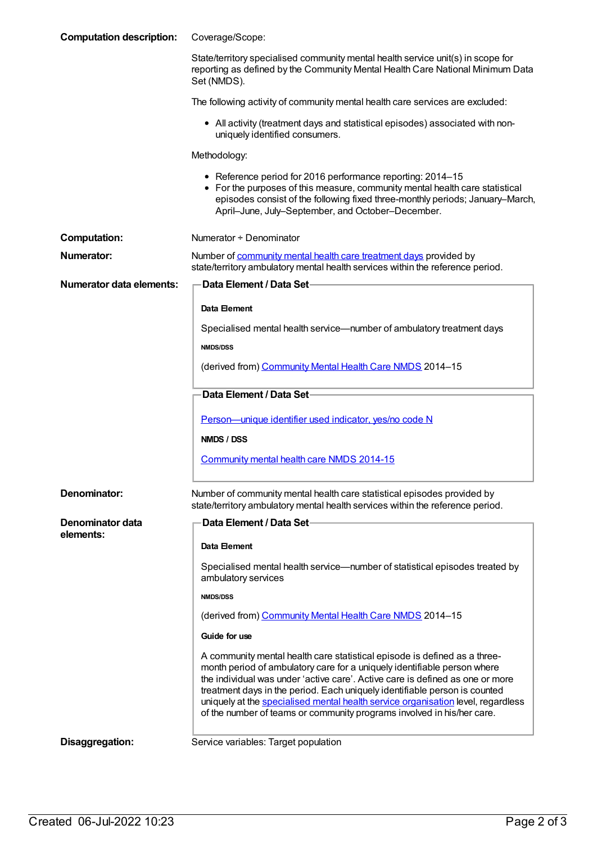| <b>Computation description:</b> | Coverage/Scope:                                                                                                                                                                                                                                                                                                                                                                                                                                                                    |
|---------------------------------|------------------------------------------------------------------------------------------------------------------------------------------------------------------------------------------------------------------------------------------------------------------------------------------------------------------------------------------------------------------------------------------------------------------------------------------------------------------------------------|
|                                 | State/territory specialised community mental health service unit(s) in scope for<br>reporting as defined by the Community Mental Health Care National Minimum Data<br>Set (NMDS).                                                                                                                                                                                                                                                                                                  |
|                                 | The following activity of community mental health care services are excluded:                                                                                                                                                                                                                                                                                                                                                                                                      |
|                                 | • All activity (treatment days and statistical episodes) associated with non-<br>uniquely identified consumers.                                                                                                                                                                                                                                                                                                                                                                    |
|                                 | Methodology:                                                                                                                                                                                                                                                                                                                                                                                                                                                                       |
|                                 | • Reference period for 2016 performance reporting: 2014-15<br>• For the purposes of this measure, community mental health care statistical<br>episodes consist of the following fixed three-monthly periods; January-March,<br>April-June, July-September, and October-December.                                                                                                                                                                                                   |
| <b>Computation:</b>             | Numerator + Denominator                                                                                                                                                                                                                                                                                                                                                                                                                                                            |
| Numerator:                      | Number of community mental health care treatment days provided by<br>state/territory ambulatory mental health services within the reference period.                                                                                                                                                                                                                                                                                                                                |
| <b>Numerator data elements:</b> | Data Element / Data Set                                                                                                                                                                                                                                                                                                                                                                                                                                                            |
|                                 | Data Element                                                                                                                                                                                                                                                                                                                                                                                                                                                                       |
|                                 | Specialised mental health service—number of ambulatory treatment days                                                                                                                                                                                                                                                                                                                                                                                                              |
|                                 | <b>NMDS/DSS</b>                                                                                                                                                                                                                                                                                                                                                                                                                                                                    |
|                                 | (derived from) Community Mental Health Care NMDS 2014-15                                                                                                                                                                                                                                                                                                                                                                                                                           |
|                                 | Data Element / Data Set-                                                                                                                                                                                                                                                                                                                                                                                                                                                           |
|                                 | Person-unique identifier used indicator, yes/no code N                                                                                                                                                                                                                                                                                                                                                                                                                             |
|                                 | NMDS / DSS                                                                                                                                                                                                                                                                                                                                                                                                                                                                         |
|                                 | Community mental health care NMDS 2014-15                                                                                                                                                                                                                                                                                                                                                                                                                                          |
| Denominator:                    | Number of community mental health care statistical episodes provided by<br>state/territory ambulatory mental health services within the reference period.                                                                                                                                                                                                                                                                                                                          |
| Denominator data                | Data Element / Data Set                                                                                                                                                                                                                                                                                                                                                                                                                                                            |
| elements:                       | Data Element                                                                                                                                                                                                                                                                                                                                                                                                                                                                       |
|                                 | Specialised mental health service—number of statistical episodes treated by<br>ambulatory services                                                                                                                                                                                                                                                                                                                                                                                 |
|                                 | <b>NMDS/DSS</b>                                                                                                                                                                                                                                                                                                                                                                                                                                                                    |
|                                 | (derived from) Community Mental Health Care NMDS 2014-15                                                                                                                                                                                                                                                                                                                                                                                                                           |
|                                 | Guide for use                                                                                                                                                                                                                                                                                                                                                                                                                                                                      |
|                                 | A community mental health care statistical episode is defined as a three-<br>month period of ambulatory care for a uniquely identifiable person where<br>the individual was under 'active care'. Active care is defined as one or more<br>treatment days in the period. Each uniquely identifiable person is counted<br>uniquely at the specialised mental health service organisation level, regardless<br>of the number of teams or community programs involved in his/her care. |
| Disaggregation:                 | Service variables: Target population                                                                                                                                                                                                                                                                                                                                                                                                                                               |